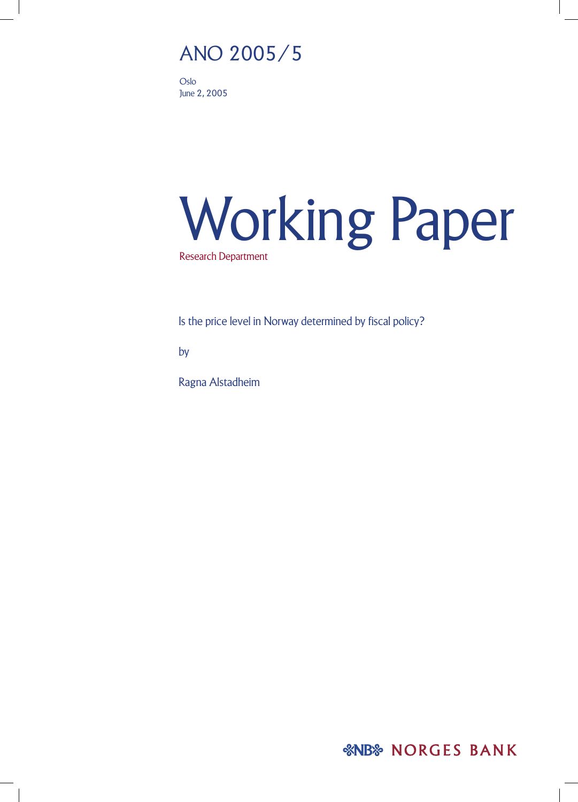# ANO 2005/5

Oslo June 2, 2005

# Working Paper Research Department

Is the price level in Norway determined by fiscal policy?

by

Ragna Alstadheim

*&NB& NORGES BANK*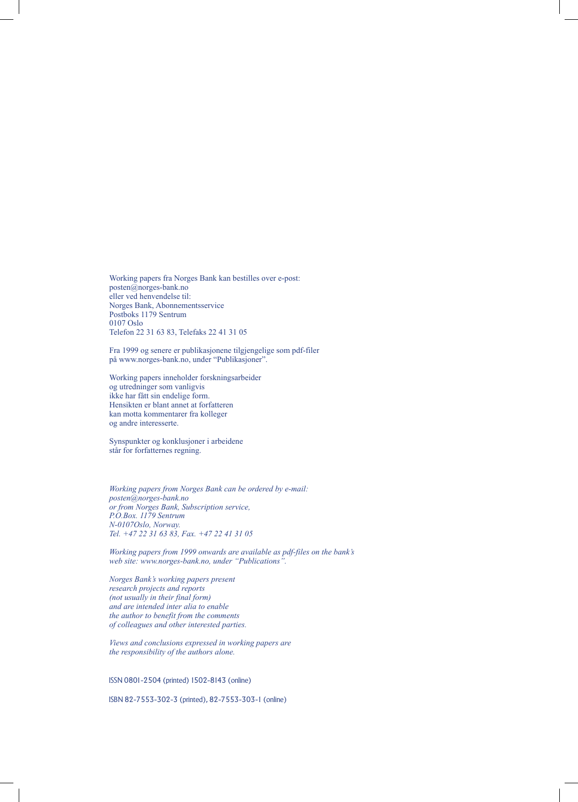Working papers fra Norges Bank kan bestilles over e-post: posten@norges-bank.no eller ved henvendelse til: Norges Bank, Abonnementsservice Postboks 1179 Sentrum 0107 Oslo Telefon 22 31 63 83, Telefaks 22 41 31 05

Fra 1999 og senere er publikasjonene tilgjengelige som pdf-filer på www.norges-bank.no, under "Publikasjoner".

Working papers inneholder forskningsarbeider og utredninger som vanligvis ikke har fått sin endelige form. Hensikten er blant annet at forfatteren kan motta kommentarer fra kolleger og andre interesserte.

Synspunkter og konklusjoner i arbeidene står for forfatternes regning.

*Working papers from Norges Bank can be ordered by e-mail: posten@norges-bank.no or from Norges Bank, Subscription service, P.O.Box. 1179 Sentrum N-0107Oslo, Norway. Tel. +47 22 31 63 83, Fax. +47 22 41 31 05*

*Working papers from 1999 onwards are available as pdf-files on the bank's web site: www.norges-bank.no, under "Publications".*

*Norges Bank's working papers present research projects and reports (not usually in their final form) and are intended inter alia to enable the author to benefit from the comments of colleagues and other interested parties.*

*Views and conclusions expressed in working papers are the responsibility of the authors alone.*

ISSN 0801-2504 (printed) 1502-8143 (online)

ISBN 82-7553-302-3 (printed), 82-7553-303-1 (online)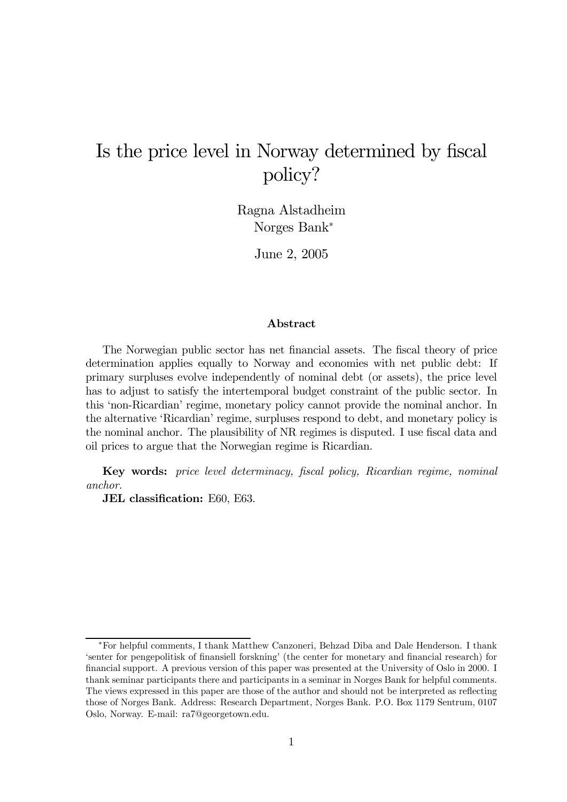# Is the price level in Norway determined by fiscal policy?

Ragna Alstadheim Norges Bank<sup>∗</sup>

June 2, 2005

#### Abstract

The Norwegian public sector has net financial assets. The fiscal theory of pricedetermination applies equally to Norway and economies with net public debt: If primary surpluses evolve independently of nominal debt (or assets), the price level has to adjust to satisfy the intertemporal budget constraint of the public sector. In this 'non-Ricardian' regime, monetary policy cannot provide the nominal anchor. In the alternative 'Ricardian' regime, surpluses respond to debt, and monetary policy is the nominal anchor. The plausibility of NR regimes is disputed. I use fiscal data and oil prices to argue that the Norwegian regime is Ricardian.

Key words: price level determinacy, fiscal policy, Ricardian regime, nominal anchor.

JEL classification: E60, E63.

<sup>∗</sup>For helpful comments, I thank Matthew Canzoneri, Behzad Diba and Dale Henderson. I thank 'senter for pengepolitisk of finansiell forskning' (the center for monetary and financial research) for financial support. A previous version of this paper was presented at the University of Oslo in 2000. I thank seminar participants there and participants in a seminar in Norges Bank for helpful comments. The views expressed in this paper are those of the author and should not be interpreted as reflecting those of Norges Bank. Address: Research Department, Norges Bank. P.O. Box 1179 Sentrum, 0107 Oslo, Norway. E-mail: ra7@georgetown.edu.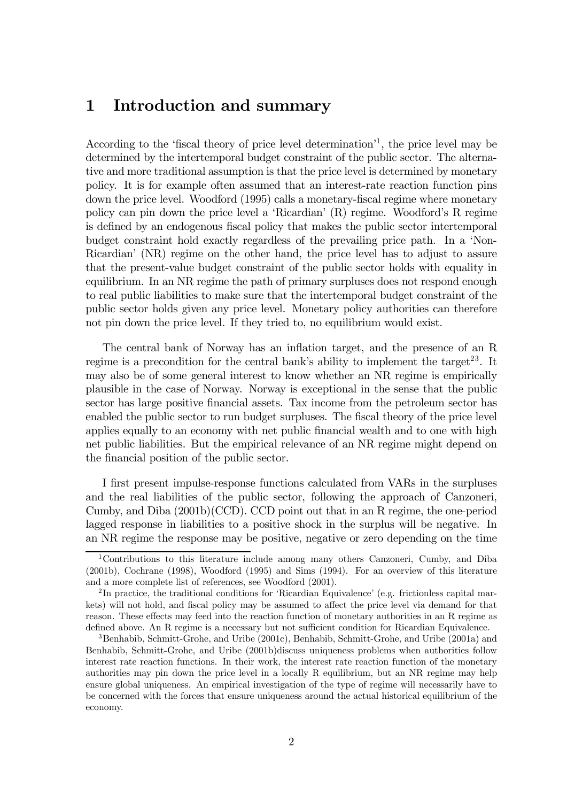# 1 Introduction and summary

According to the 'fiscal theory of price level determination'1, the price level may be determined by the intertemporal budget constraint of the public sector. The alternative and more traditional assumption is that the price level is determined by monetary policy. It is for example often assumed that an interest-rate reaction function pins down the price level. Woodford (1995) calls a monetary-fiscal regime where monetary policy can pin down the price level a 'Ricardian' (R) regime. Woodford's R regime is defined by an endogenous fiscal policy that makes the public sector intertemporal budget constraint hold exactly regardless of the prevailing price path. In a 'Non-Ricardian' (NR) regime on the other hand, the price level has to adjust to assure that the present-value budget constraint of the public sector holds with equality in equilibrium. In an NR regime the path of primary surpluses does not respond enough to real public liabilities to make sure that the intertemporal budget constraint of the public sector holds given any price level. Monetary policy authorities can therefore not pin down the price level. If they tried to, no equilibrium would exist.

The central bank of Norway has an inflation target, and the presence of an R regime is a precondition for the central bank's ability to implement the target<sup>23</sup>. It may also be of some general interest to know whether an NR regime is empirically plausible in the case of Norway. Norway is exceptional in the sense that the public sector has large positive financial assets. Tax income from the petroleum sector has enabled the public sector to run budget surpluses. The fiscal theory of the price level applies equally to an economy with net public financial wealth and to one with high net public liabilities. But the empirical relevance of an NR regime might depend on the financial position of the public sector.

I first present impulse-response functions calculated from VARs in the surpluses and the real liabilities of the public sector, following the approach of Canzoneri, Cumby, and Diba (2001b)(CCD). CCD point out that in an R regime, the one-period lagged response in liabilities to a positive shock in the surplus will be negative. In an NR regime the response may be positive, negative or zero depending on the time

<sup>1</sup>Contributions to this literature include among many others Canzoneri, Cumby, and Diba (2001b), Cochrane (1998), Woodford (1995) and Sims (1994). For an overview of this literature and a more complete list of references, see Woodford (2001).

<sup>&</sup>lt;sup>2</sup>In practice, the traditional conditions for 'Ricardian Equivalence' (e.g. frictionless capital markets) will not hold, and fiscal policy may be assumed to affect the price level via demand for that reason. These effects may feed into the reaction function of monetary authorities in an R regime as defined above. An R regime is a necessary but not sufficient condition for Ricardian Equivalence.

<sup>3</sup>Benhabib, Schmitt-Grohe, and Uribe (2001c), Benhabib, Schmitt-Grohe, and Uribe (2001a) and Benhabib, Schmitt-Grohe, and Uribe (2001b)discuss uniqueness problems when authorities follow interest rate reaction functions. In their work, the interest rate reaction function of the monetary authorities may pin down the price level in a locally R equilibrium, but an NR regime may help ensure global uniqueness. An empirical investigation of the type of regime will necessarily have to be concerned with the forces that ensure uniqueness around the actual historical equilibrium of the economy.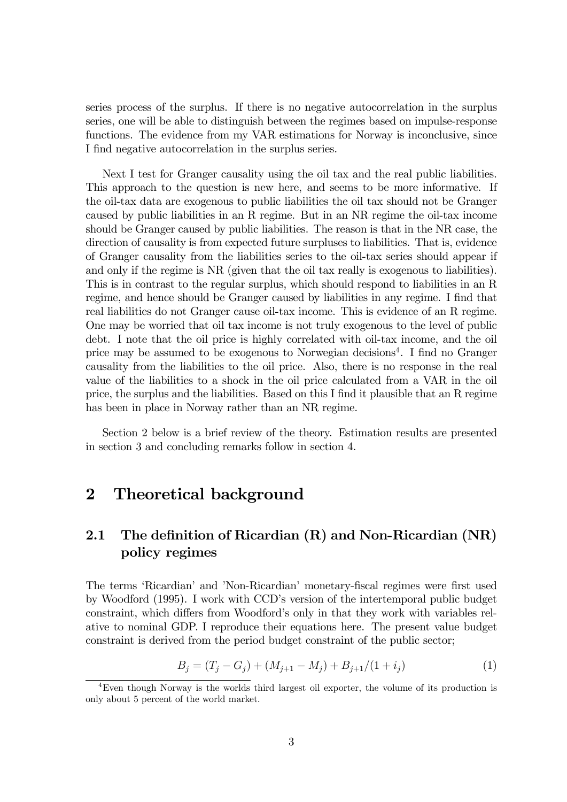series process of the surplus. If there is no negative autocorrelation in the surplus series, one will be able to distinguish between the regimes based on impulse-response functions. The evidence from my VAR estimations for Norway is inconclusive, since I find negative autocorrelation in the surplus series.

Next I test for Granger causality using the oil tax and the real public liabilities. This approach to the question is new here, and seems to be more informative. If the oil-tax data are exogenous to public liabilities the oil tax should not be Granger caused by public liabilities in an R regime. But in an NR regime the oil-tax income should be Granger caused by public liabilities. The reason is that in the NR case, the direction of causality is from expected future surpluses to liabilities. That is, evidence of Granger causality from the liabilities series to the oil-tax series should appear if and only if the regime is NR (given that the oil tax really is exogenous to liabilities). This is in contrast to the regular surplus, which should respond to liabilities in an R regime, and hence should be Granger caused by liabilities in any regime. I find that real liabilities do not Granger cause oil-tax income. This is evidence of an R regime. One may be worried that oil tax income is not truly exogenous to the level of public debt. I note that the oil price is highly correlated with oil-tax income, and the oil price may be assumed to be exogenous to Norwegian decisions4. I find no Granger causality from the liabilities to the oil price. Also, there is no response in the real value of the liabilities to a shock in the oil price calculated from a VAR in the oil price, the surplus and the liabilities. Based on this I find it plausible that an R regime has been in place in Norway rather than an NR regime.

Section 2 below is a brief review of the theory. Estimation results are presented in section 3 and concluding remarks follow in section 4.

## 2 Theoretical background

## 2.1 The definition of Ricardian (R) and Non-Ricardian (NR) policy regimes

The terms 'Ricardian' and 'Non-Ricardian' monetary-fiscal regimes were first used by Woodford (1995). I work with CCD's version of the intertemporal public budget constraint, which differs from Woodford's only in that they work with variables relative to nominal GDP. I reproduce their equations here. The present value budget constraint is derived from the period budget constraint of the public sector;

$$
B_j = (T_j - G_j) + (M_{j+1} - M_j) + B_{j+1}/(1 + i_j)
$$
\n(1)

<sup>4</sup>Even though Norway is the worlds third largest oil exporter, the volume of its production is only about 5 percent of the world market.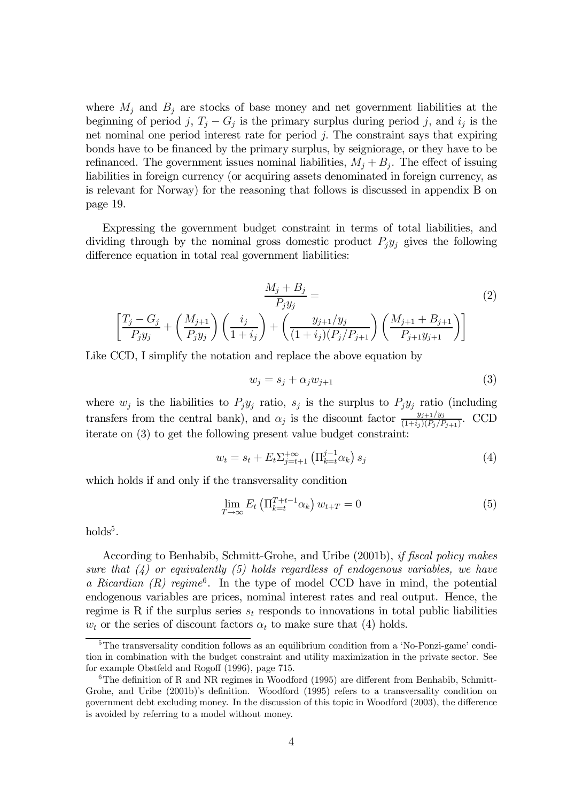where  $M_j$  and  $B_j$  are stocks of base money and net government liabilities at the beginning of period j,  $T_j - G_j$  is the primary surplus during period j, and  $i_j$  is the net nominal one period interest rate for period j. The constraint says that expiring bonds have to be financed by the primary surplus, by seigniorage, or they have to be refinanced. The government issues nominal liabilities,  $M_i + B_i$ . The effect of issuing liabilities in foreign currency (or acquiring assets denominated in foreign currency, as is relevant for Norway) for the reasoning that follows is discussed in appendix B on page 19.

Expressing the government budget constraint in terms of total liabilities, and dividing through by the nominal gross domestic product  $P_i y_i$  gives the following difference equation in total real government liabilities:

$$
\frac{M_j + B_j}{P_j y_j} = \n\left[ \frac{T_j - G_j}{P_j y_j} + \left( \frac{M_{j+1}}{P_j y_j} \right) \left( \frac{i_j}{1 + i_j} \right) + \left( \frac{y_{j+1}/y_j}{(1 + i_j)(P_j/P_{j+1}} \right) \left( \frac{M_{j+1} + B_{j+1}}{P_{j+1} y_{j+1}} \right) \right]
$$
\n(2)

Like CCD, I simplify the notation and replace the above equation by

$$
w_j = s_j + \alpha_j w_{j+1} \tag{3}
$$

where  $w_j$  is the liabilities to  $P_jy_j$  ratio,  $s_j$  is the surplus to  $P_jy_j$  ratio (including transfers from the central bank), and  $\alpha_j$  is the discount factor  $\frac{y_{j+1}/y_j}{(1+i_j)(P_j/P_{j+1})}$ . CCD iterate on (3) to get the following present value budget constraint:

$$
w_t = s_t + E_t \sum_{j=t+1}^{+\infty} \left( \prod_{k=t}^{j-1} \alpha_k \right) s_j \tag{4}
$$

which holds if and only if the transversality condition

$$
\lim_{T \to \infty} E_t \left( \Pi_{k=t}^{T+t-1} \alpha_k \right) w_{t+T} = 0 \tag{5}
$$

 $holds<sup>5</sup>$ .

According to Benhabib, Schmitt-Grohe, and Uribe (2001b), if fiscal policy makes sure that  $(4)$  or equivalently (5) holds regardless of endogenous variables, we have a Ricardian  $(R)$  regime<sup>6</sup>. In the type of model CCD have in mind, the potential endogenous variables are prices, nominal interest rates and real output. Hence, the regime is R if the surplus series  $s_t$  responds to innovations in total public liabilities  $w_t$  or the series of discount factors  $\alpha_t$  to make sure that (4) holds.

<sup>&</sup>lt;sup>5</sup>The transversality condition follows as an equilibrium condition from a 'No-Ponzi-game' condition in combination with the budget constraint and utility maximization in the private sector. See for example Obstfeld and Rogoff (1996), page 715.

<sup>&</sup>lt;sup>6</sup>The definition of R and NR regimes in Woodford (1995) are different from Benhabib, Schmitt-Grohe, and Uribe (2001b)'s definition. Woodford (1995) refers to a transversality condition on government debt excluding money. In the discussion of this topic in Woodford (2003), the difference is avoided by referring to a model without money.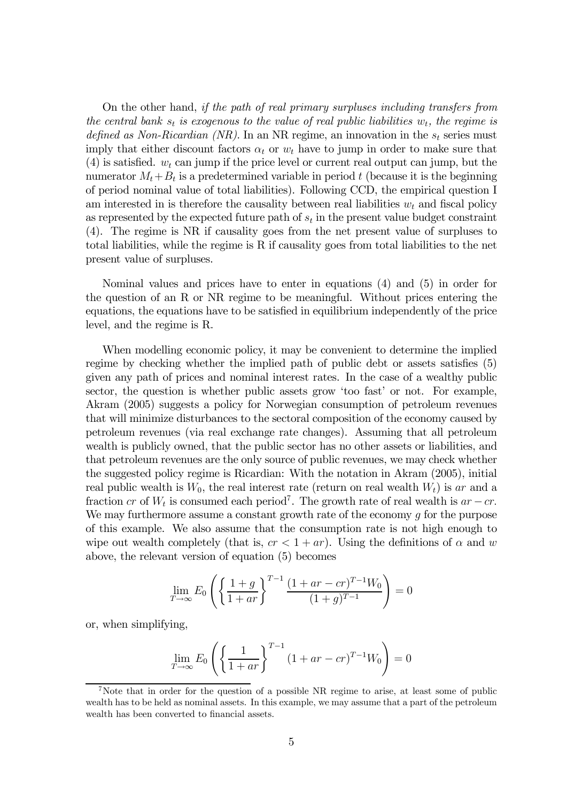On the other hand, if the path of real primary surpluses including transfers from the central bank  $s_t$  is exogenous to the value of real public liabilities  $w_t$ , the regime is defined as Non-Ricardian (NR). In an NR regime, an innovation in the  $s_t$  series must imply that either discount factors  $\alpha_t$  or  $w_t$  have to jump in order to make sure that (4) is satisfied.  $w_t$  can jump if the price level or current real output can jump, but the numerator  $M_t + B_t$  is a predetermined variable in period t (because it is the beginning of period nominal value of total liabilities). Following CCD, the empirical question I am interested in is therefore the causality between real liabilities  $w_t$  and fiscal policy as represented by the expected future path of  $s_t$  in the present value budget constraint (4). The regime is NR if causality goes from the net present value of surpluses to total liabilities, while the regime is R if causality goes from total liabilities to the net present value of surpluses.

Nominal values and prices have to enter in equations (4) and (5) in order for the question of an R or NR regime to be meaningful. Without prices entering the equations, the equations have to be satisfied in equilibrium independently of the price level, and the regime is R.

When modelling economic policy, it may be convenient to determine the implied regime by checking whether the implied path of public debt or assets satisfies (5) given any path of prices and nominal interest rates. In the case of a wealthy public sector, the question is whether public assets grow 'too fast' or not. For example, Akram (2005) suggests a policy for Norwegian consumption of petroleum revenues that will minimize disturbances to the sectoral composition of the economy caused by petroleum revenues (via real exchange rate changes). Assuming that all petroleum wealth is publicly owned, that the public sector has no other assets or liabilities, and that petroleum revenues are the only source of public revenues, we may check whether the suggested policy regime is Ricardian: With the notation in Akram (2005), initial real public wealth is  $W_0$ , the real interest rate (return on real wealth  $W_t$ ) is ar and a fraction cr of  $W_t$  is consumed each period<sup>7</sup>. The growth rate of real wealth is  $ar - cr$ . We may furthermore assume a constant growth rate of the economy  $g$  for the purpose of this example. We also assume that the consumption rate is not high enough to wipe out wealth completely (that is,  $cr < 1 + ar$ ). Using the definitions of  $\alpha$  and w above, the relevant version of equation (5) becomes

$$
\lim_{T \to \infty} E_0 \left( \left\{ \frac{1+g}{1+ar} \right\}^{T-1} \frac{(1+ar-cr)^{T-1} W_0}{(1+g)^{T-1}} \right) = 0
$$

or, when simplifying,

$$
\lim_{T \to \infty} E_0 \left( \left\{ \frac{1}{1+ar} \right\}^{T-1} (1 + ar - cr)^{T-1} W_0 \right) = 0
$$

<sup>7</sup>Note that in order for the question of a possible NR regime to arise, at least some of public wealth has to be held as nominal assets. In this example, we may assume that a part of the petroleum wealth has been converted to financial assets.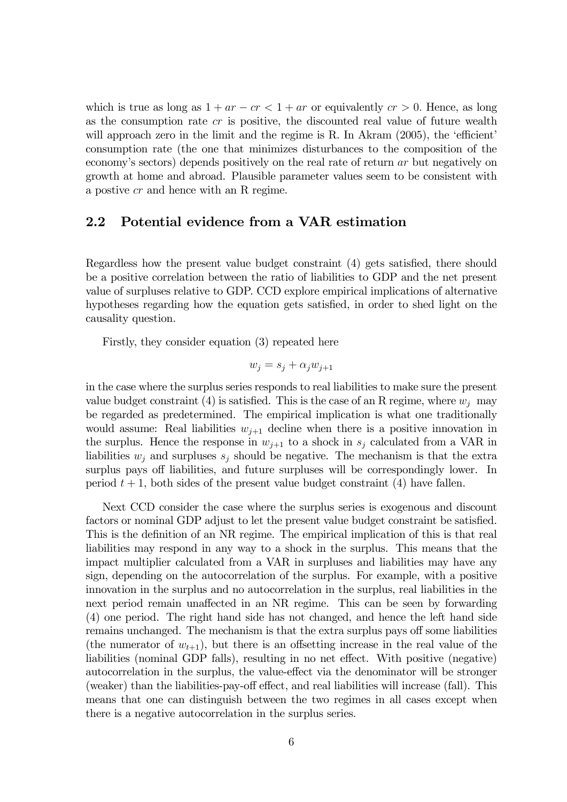which is true as long as  $1 + ar - cr < 1 + ar$  or equivalently  $cr > 0$ . Hence, as long as the consumption rate  $cr$  is positive, the discounted real value of future wealth will approach zero in the limit and the regime is R. In Akram (2005), the 'efficient' consumption rate (the one that minimizes disturbances to the composition of the economy's sectors) depends positively on the real rate of return ar but negatively on growth at home and abroad. Plausible parameter values seem to be consistent with a postive cr and hence with an R regime.

#### 2.2 Potential evidence from a VAR estimation

Regardless how the present value budget constraint (4) gets satisfied, there should be a positive correlation between the ratio of liabilities to GDP and the net present value of surpluses relative to GDP. CCD explore empirical implications of alternative hypotheses regarding how the equation gets satisfied, in order to shed light on the causality question.

Firstly, they consider equation (3) repeated here

$$
w_j = s_j + \alpha_j w_{j+1}
$$

in the case where the surplus series responds to real liabilities to make sure the present value budget constraint (4) is satisfied. This is the case of an R regime, where  $w_j$  may be regarded as predetermined. The empirical implication is what one traditionally would assume: Real liabilities  $w_{j+1}$  decline when there is a positive innovation in the surplus. Hence the response in  $w_{j+1}$  to a shock in  $s_j$  calculated from a VAR in liabilities  $w_j$  and surpluses  $s_j$  should be negative. The mechanism is that the extra surplus pays off liabilities, and future surpluses will be correspondingly lower. In period  $t + 1$ , both sides of the present value budget constraint (4) have fallen.

Next CCD consider the case where the surplus series is exogenous and discount factors or nominal GDP adjust to let the present value budget constraint be satisfied. This is the definition of an NR regime. The empirical implication of this is that real liabilities may respond in any way to a shock in the surplus. This means that the impact multiplier calculated from a VAR in surpluses and liabilities may have any sign, depending on the autocorrelation of the surplus. For example, with a positive innovation in the surplus and no autocorrelation in the surplus, real liabilities in the next period remain unaffected in an NR regime. This can be seen by forwarding (4) one period. The right hand side has not changed, and hence the left hand side remains unchanged. The mechanism is that the extra surplus pays off some liabilities (the numerator of  $w_{t+1}$ ), but there is an offsetting increase in the real value of the liabilities (nominal GDP falls), resulting in no net effect. With positive (negative) autocorrelation in the surplus, the value-effect via the denominator will be stronger (weaker) than the liabilities-pay-off effect, and real liabilities will increase (fall). This means that one can distinguish between the two regimes in all cases except when there is a negative autocorrelation in the surplus series.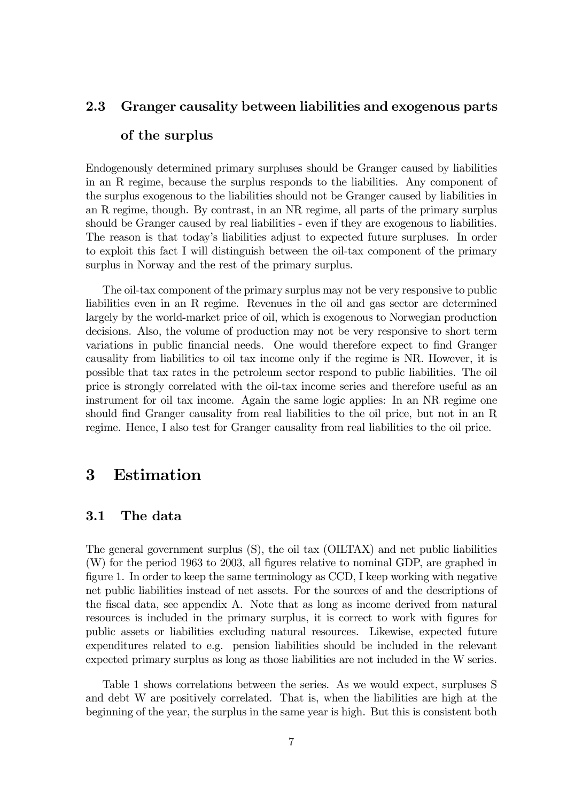#### 2.3 Granger causality between liabilities and exogenous parts

#### of the surplus

Endogenously determined primary surpluses should be Granger caused by liabilities in an R regime, because the surplus responds to the liabilities. Any component of the surplus exogenous to the liabilities should not be Granger caused by liabilities in an R regime, though. By contrast, in an NR regime, all parts of the primary surplus should be Granger caused by real liabilities - even if they are exogenous to liabilities. The reason is that today's liabilities adjust to expected future surpluses. In order to exploit this fact I will distinguish between the oil-tax component of the primary surplus in Norway and the rest of the primary surplus.

The oil-tax component of the primary surplus may not be very responsive to public liabilities even in an R regime. Revenues in the oil and gas sector are determined largely by the world-market price of oil, which is exogenous to Norwegian production decisions. Also, the volume of production may not be very responsive to short term variations in public financial needs. One would therefore expect to find Granger causality from liabilities to oil tax income only if the regime is NR. However, it is possible that tax rates in the petroleum sector respond to public liabilities. The oil price is strongly correlated with the oil-tax income series and therefore useful as an instrument for oil tax income. Again the same logic applies: In an NR regime one should find Granger causality from real liabilities to the oil price, but not in an R regime. Hence, I also test for Granger causality from real liabilities to the oil price.

# 3 Estimation

#### 3.1 The data

The general government surplus (S), the oil tax (OILTAX) and net public liabilities (W) for the period 1963 to 2003, all figures relative to nominal GDP, are graphed in figure 1. In order to keep the same terminology as CCD, I keep working with negative net public liabilities instead of net assets. For the sources of and the descriptions of the fiscal data, see appendix A. Note that as long as income derived from natural resources is included in the primary surplus, it is correct to work with figures for public assets or liabilities excluding natural resources. Likewise, expected future expenditures related to e.g. pension liabilities should be included in the relevant expected primary surplus as long as those liabilities are not included in the W series.

Table 1 shows correlations between the series. As we would expect, surpluses S and debt W are positively correlated. That is, when the liabilities are high at the beginning of the year, the surplus in the same year is high. But this is consistent both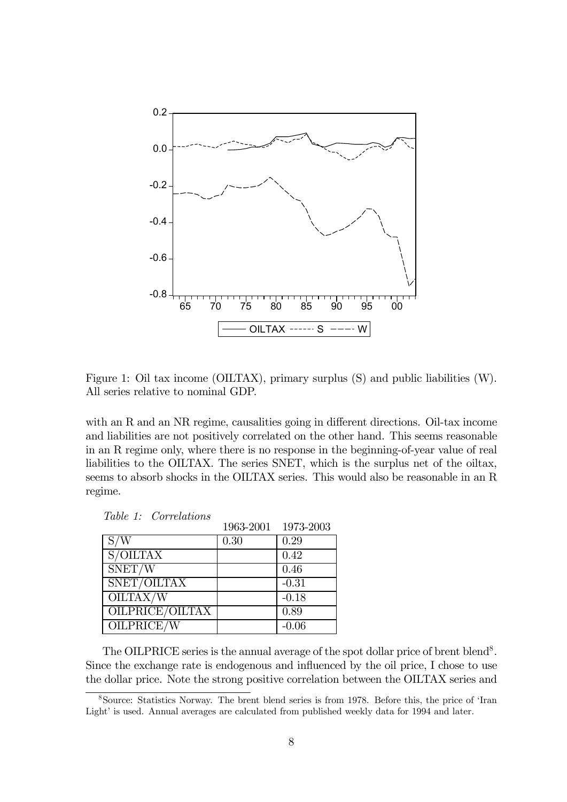

Figure 1: Oil tax income (OILTAX), primary surplus (S) and public liabilities (W). All series relative to nominal GDP.

with an R and an NR regime, causalities going in different directions. Oil-tax income and liabilities are not positively correlated on the other hand. This seems reasonable in an R regime only, where there is no response in the beginning-of-year value of real liabilities to the OILTAX. The series SNET, which is the surplus net of the oiltax, seems to absorb shocks in the OILTAX series. This would also be reasonable in an R regime.

|                 |      | 1963-2001 1973-2003 |
|-----------------|------|---------------------|
| S/W             | 0.30 | 0.29                |
| S/OILTAX        |      | 0.42                |
| SNET/W          |      | 0.46                |
| SNET/OILTAX     |      | $-0.31$             |
| OILTAX/W        |      | $-0.18$             |
| OILPRICE/OILTAX |      | 0.89                |
| OILPRICE/W      |      | $-0.06$             |

Table 1: Correlations

The OILPRICE series is the annual average of the spot dollar price of brent blend<sup>8</sup>. Since the exchange rate is endogenous and influenced by the oil price, I chose to use the dollar price. Note the strong positive correlation between the OILTAX series and

<sup>8</sup>Source: Statistics Norway. The brent blend series is from 1978. Before this, the price of 'Iran Light' is used. Annual averages are calculated from published weekly data for 1994 and later.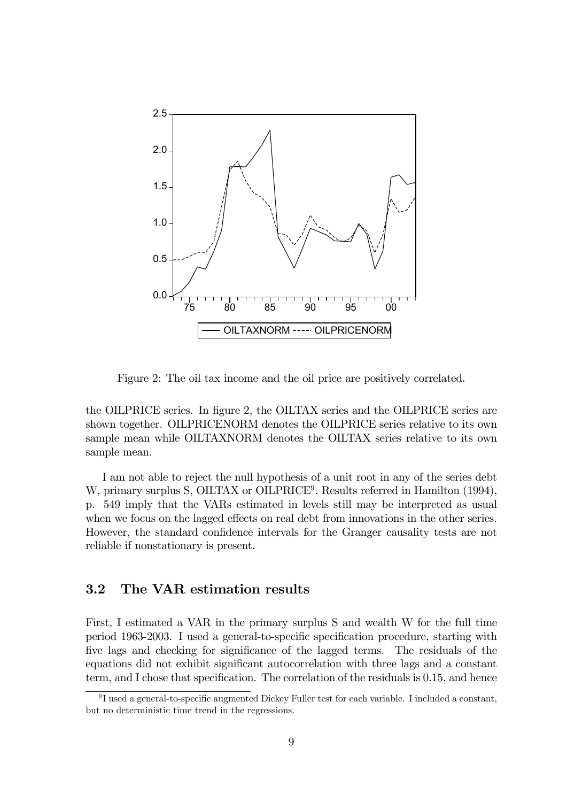

Figure 2: The oil tax income and the oil price are positively correlated.

the OILPRICE series. In figure 2, the OILTAX series and the OILPRICE series are shown together. OILPRICENORM denotes the OILPRICE series relative to its own sample mean while OILTAXNORM denotes the OILTAX series relative to its own sample mean.

I am not able to reject the null hypothesis of a unit root in any of the series debt W, primary surplus S, OILTAX or OILPRICE<sup>9</sup>. Results referred in Hamilton (1994), p. 549 imply that the VARs estimated in levels still may be interpreted as usual when we focus on the lagged effects on real debt from innovations in the other series. However, the standard confidence intervals for the Granger causality tests are not reliable if nonstationary is present.

#### 3.2 The VAR estimation results

First, I estimated a VAR in the primary surplus S and wealth W for the full time period 1963-2003. I used a general-to-specific specification procedure, starting with five lags and checking for significance of the lagged terms. The residuals of the equations did not exhibit significant autocorrelation with three lags and a constant term, and I chose that specification. The correlation of the residuals is 0.15, and hence

<sup>9</sup> I used a general-to-specific augmented Dickey Fuller test for each variable. I included a constant, but no deterministic time trend in the regressions.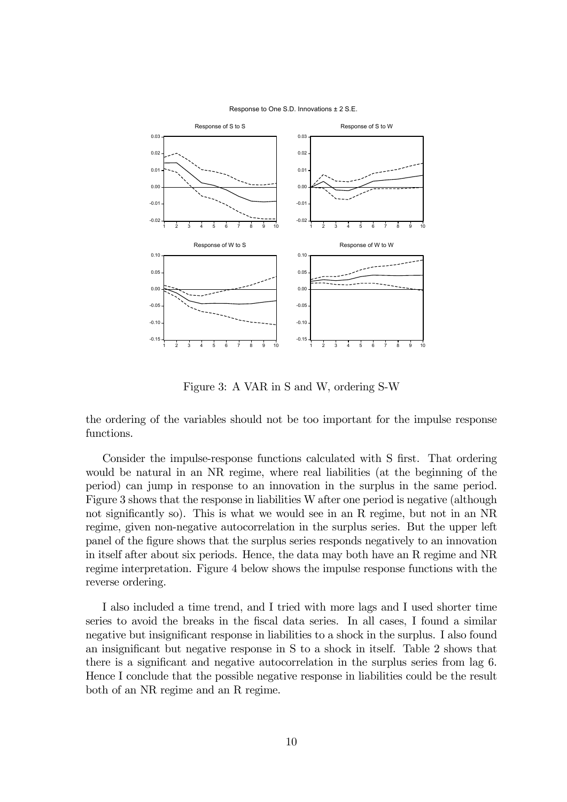

Response to One S.D. Innovations ± 2 S.E.

Figure 3: A VAR in S and W, ordering S-W

the ordering of the variables should not be too important for the impulse response functions.

Consider the impulse-response functions calculated with S first. That ordering would be natural in an NR regime, where real liabilities (at the beginning of the period) can jump in response to an innovation in the surplus in the same period. Figure 3 shows that the response in liabilities W after one period is negative (although not significantly so). This is what we would see in an R regime, but not in an NR regime, given non-negative autocorrelation in the surplus series. But the upper left panel of the figure shows that the surplus series responds negatively to an innovation in itself after about six periods. Hence, the data may both have an R regime and NR regime interpretation. Figure 4 below shows the impulse response functions with the reverse ordering.

I also included a time trend, and I tried with more lags and I used shorter time series to avoid the breaks in the fiscal data series. In all cases, I found a similar negative but insignificant response in liabilities to a shock in the surplus. I also found an insignificant but negative response in S to a shock in itself. Table 2 shows that there is a significant and negative autocorrelation in the surplus series from lag 6. Hence I conclude that the possible negative response in liabilities could be the result both of an NR regime and an R regime.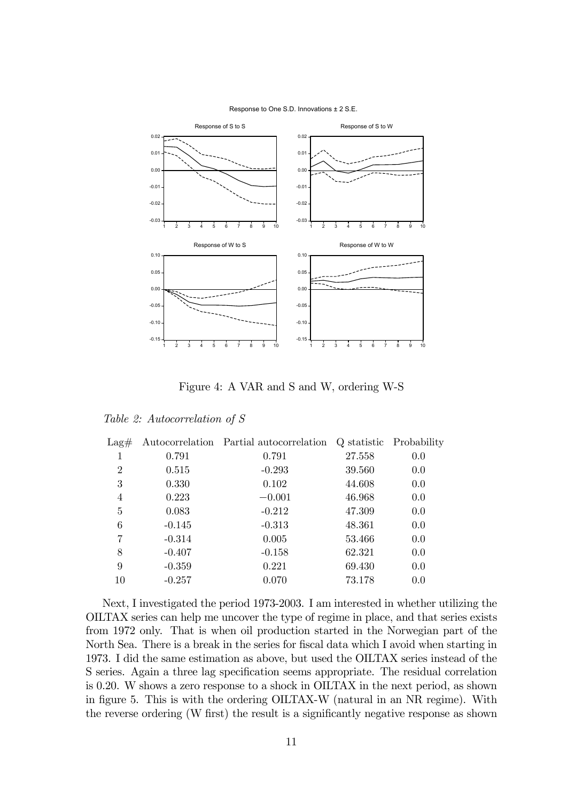

Response to One S.D. Innovations ± 2 S.E.

Figure 4: A VAR and S and W, ordering W-S

|  |  | Table 2: Autocorrelation of S |  |  |  |
|--|--|-------------------------------|--|--|--|
|--|--|-------------------------------|--|--|--|

| $\text{Lag}\#$ |          | Autocorrelation Partial autocorrelation Q statistic Probability |        |     |
|----------------|----------|-----------------------------------------------------------------|--------|-----|
| 1              | 0.791    | 0.791                                                           | 27.558 | 0.0 |
| $\overline{2}$ | 0.515    | $-0.293$                                                        | 39.560 | 0.0 |
| 3              | 0.330    | 0.102                                                           | 44.608 | 0.0 |
| 4              | 0.223    | $-0.001$                                                        | 46.968 | 0.0 |
| 5              | 0.083    | $-0.212$                                                        | 47.309 | 0.0 |
| 6              | $-0.145$ | $-0.313$                                                        | 48.361 | 0.0 |
| 7              | $-0.314$ | 0.005                                                           | 53.466 | 0.0 |
| 8              | $-0.407$ | $-0.158$                                                        | 62.321 | 0.0 |
| 9              | $-0.359$ | 0.221                                                           | 69.430 | 0.0 |
| 10             | $-0.257$ | 0.070                                                           | 73.178 | 0.0 |
|                |          |                                                                 |        |     |

Next, I investigated the period 1973-2003. I am interested in whether utilizing the OILTAX series can help me uncover the type of regime in place, and that series exists from 1972 only. That is when oil production started in the Norwegian part of the North Sea. There is a break in the series for fiscal data which I avoid when starting in 1973. I did the same estimation as above, but used the OILTAX series instead of the S series. Again a three lag specification seems appropriate. The residual correlation is 0.20. W shows a zero response to a shock in OILTAX in the next period, as shown in figure 5. This is with the ordering OILTAX-W (natural in an NR regime). With the reverse ordering (W first) the result is a significantly negative response as shown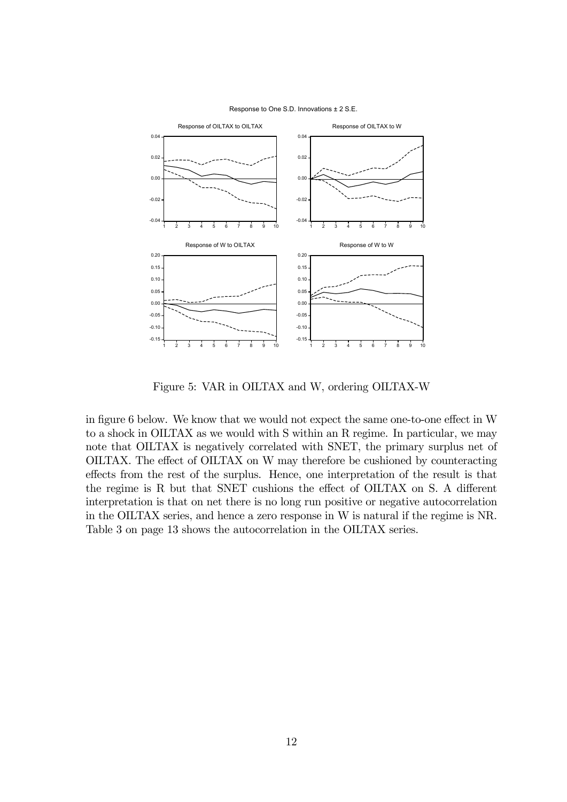

Response to One S.D. Innovations ± 2 S.E.

Figure 5: VAR in OILTAX and W, ordering OILTAX-W

in figure 6 below. We know that we would not expect the same one-to-one effect in W to a shock in OILTAX as we would with S within an R regime. In particular, we may note that OILTAX is negatively correlated with SNET, the primary surplus net of OILTAX. The effect of OILTAX on W may therefore be cushioned by counteracting effects from the rest of the surplus. Hence, one interpretation of the result is that the regime is R but that SNET cushions the effect of OILTAX on S. A different interpretation is that on net there is no long run positive or negative autocorrelation in the OILTAX series, and hence a zero response in W is natural if the regime is NR. Table 3 on page 13 shows the autocorrelation in the OILTAX series.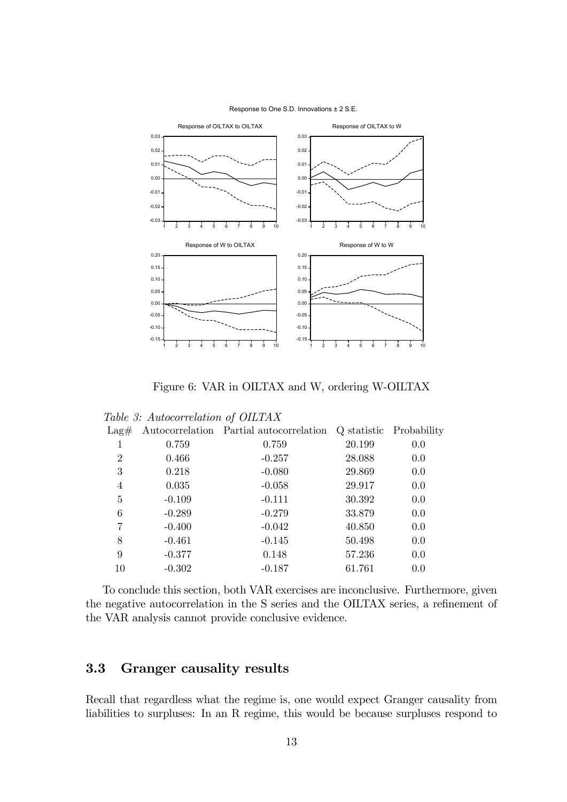

Response to One S.D. Innovations ± 2 S.E.

Figure 6: VAR in OILTAX and W, ordering W-OILTAX

|                | $\mu$ able b. Tradecorrelation of OIDITIN |                                         |        |                         |
|----------------|-------------------------------------------|-----------------------------------------|--------|-------------------------|
| $\text{Lag}\#$ |                                           | Autocorrelation Partial autocorrelation |        | Q statistic Probability |
| 1              | 0.759                                     | 0.759                                   | 20.199 | 0.0                     |
| $\overline{2}$ | 0.466                                     | $-0.257$                                | 28.088 | 0.0                     |
| 3              | 0.218                                     | $-0.080$                                | 29.869 | 0.0                     |
| $\overline{4}$ | 0.035                                     | $-0.058$                                | 29.917 | 0.0                     |
| 5              | $-0.109$                                  | $-0.111$                                | 30.392 | 0.0                     |
| 6              | $-0.289$                                  | $-0.279$                                | 33.879 | 0.0                     |
| 7              | $-0.400$                                  | $-0.042$                                | 40.850 | 0.0                     |
| 8              | $-0.461$                                  | $-0.145$                                | 50.498 | 0.0                     |
| 9              | $-0.377$                                  | 0.148                                   | 57.236 | 0.0                     |
| 10             | $-0.302$                                  | $-0.187$                                | 61.761 | 0.0                     |
|                |                                           |                                         |        |                         |

Table 3: Autocorrelation of OILTAX

To conclude this section, both VAR exercises are inconclusive. Furthermore, given the negative autocorrelation in the S series and the OILTAX series, a refinement of the VAR analysis cannot provide conclusive evidence.

#### 3.3 Granger causality results

Recall that regardless what the regime is, one would expect Granger causality from liabilities to surpluses: In an R regime, this would be because surpluses respond to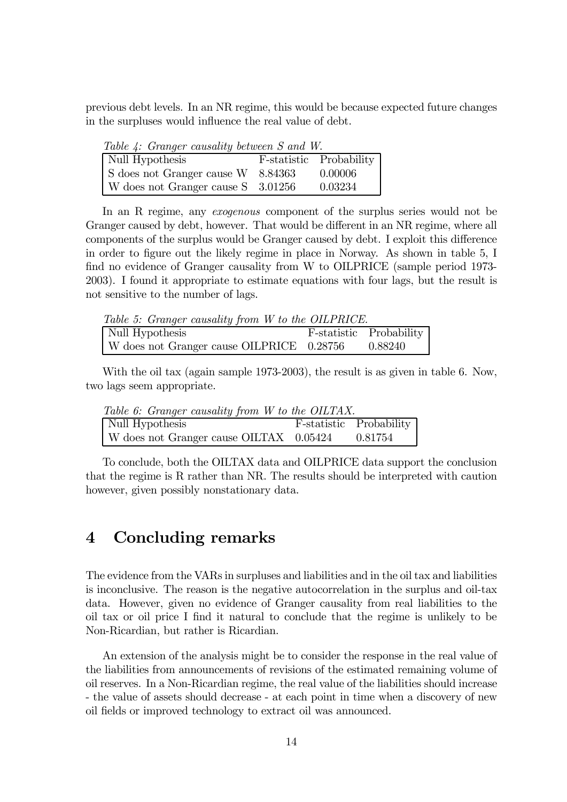previous debt levels. In an NR regime, this would be because expected future changes in the surpluses would influence the real value of debt.

| <b>Table 4. Granger causality between 5 and W.</b> |                         |
|----------------------------------------------------|-------------------------|
| Null Hypothesis                                    | F-statistic Probability |
| S does not Granger cause W 8.84363                 | 0.00006                 |
| W does not Granger cause S 3.01256                 | 0.03234                 |

Table 4: Granger causality between S and W.

In an R regime, any *exogenous* component of the surplus series would not be Granger caused by debt, however. That would be different in an NR regime, where all components of the surplus would be Granger caused by debt. I exploit this difference in order to figure out the likely regime in place in Norway. As shown in table 5, I find no evidence of Granger causality from W to OILPRICE (sample period 1973- 2003). I found it appropriate to estimate equations with four lags, but the result is not sensitive to the number of lags.

Table 5: Granger causality from W to the OILPRICE.

| Null Hypothesis                           | F-statistic Probability |
|-------------------------------------------|-------------------------|
| W does not Granger cause OILPRICE 0.28756 | 0.88240                 |

With the oil tax (again sample 1973-2003), the result is as given in table 6. Now, two lags seem appropriate.

| Table 6: Granger causality from W to the OILTAX. |                         |
|--------------------------------------------------|-------------------------|
| Null Hypothesis                                  | F-statistic Probability |
| W does not Granger cause OILTAX 0.05424          | 0.81754                 |

To conclude, both the OILTAX data and OILPRICE data support the conclusion that the regime is R rather than NR. The results should be interpreted with caution however, given possibly nonstationary data.

# 4 Concluding remarks

The evidence from the VARs in surpluses and liabilities and in the oil tax and liabilities is inconclusive. The reason is the negative autocorrelation in the surplus and oil-tax data. However, given no evidence of Granger causality from real liabilities to the oil tax or oil price I find it natural to conclude that the regime is unlikely to be Non-Ricardian, but rather is Ricardian.

An extension of the analysis might be to consider the response in the real value of the liabilities from announcements of revisions of the estimated remaining volume of oil reserves. In a Non-Ricardian regime, the real value of the liabilities should increase - the value of assets should decrease - at each point in time when a discovery of new oil fields or improved technology to extract oil was announced.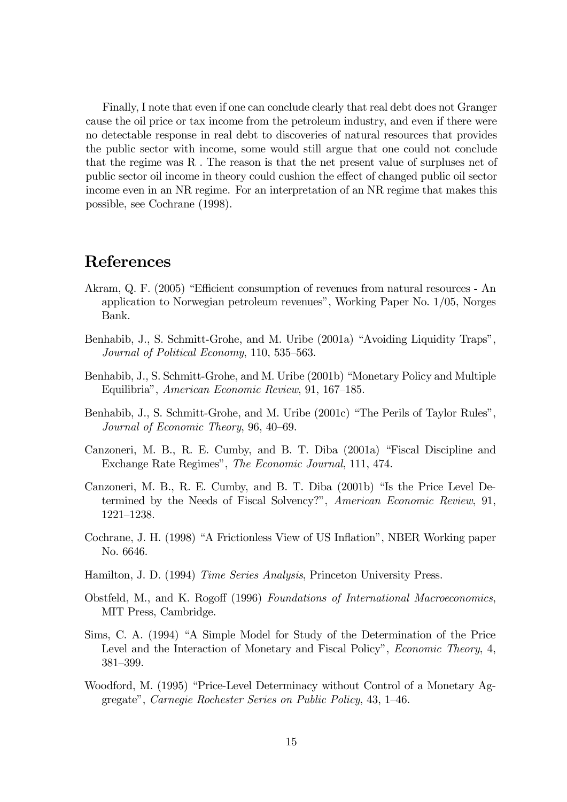Finally, I note that even if one can conclude clearly that real debt does not Granger cause the oil price or tax income from the petroleum industry, and even if there were no detectable response in real debt to discoveries of natural resources that provides the public sector with income, some would still argue that one could not conclude that the regime was R . The reason is that the net present value of surpluses net of public sector oil income in theory could cushion the effect of changed public oil sector income even in an NR regime. For an interpretation of an NR regime that makes this possible, see Cochrane (1998).

# References

- Akram, Q. F. (2005) "Efficient consumption of revenues from natural resources An application to Norwegian petroleum revenues", Working Paper No. 1/05, Norges Bank.
- Benhabib, J., S. Schmitt-Grohe, and M. Uribe (2001a) "Avoiding Liquidity Traps", Journal of Political Economy, 110, 535—563.
- Benhabib, J., S. Schmitt-Grohe, and M. Uribe (2001b) "Monetary Policy and Multiple Equilibria", American Economic Review, 91, 167—185.
- Benhabib, J., S. Schmitt-Grohe, and M. Uribe (2001c) "The Perils of Taylor Rules", Journal of Economic Theory, 96, 40—69.
- Canzoneri, M. B., R. E. Cumby, and B. T. Diba (2001a) "Fiscal Discipline and Exchange Rate Regimes", The Economic Journal, 111, 474.
- Canzoneri, M. B., R. E. Cumby, and B. T. Diba (2001b) "Is the Price Level Determined by the Needs of Fiscal Solvency?", American Economic Review, 91, 1221—1238.
- Cochrane, J. H. (1998) "A Frictionless View of US Inflation", NBER Working paper No. 6646.
- Hamilton, J. D. (1994) Time Series Analysis, Princeton University Press.
- Obstfeld, M., and K. Rogoff (1996) Foundations of International Macroeconomics, MIT Press, Cambridge.
- Sims, C. A. (1994) "A Simple Model for Study of the Determination of the Price Level and the Interaction of Monetary and Fiscal Policy", *Economic Theory*, 4, 381—399.
- Woodford, M. (1995) "Price-Level Determinacy without Control of a Monetary Aggregate", Carnegie Rochester Series on Public Policy, 43, 1—46.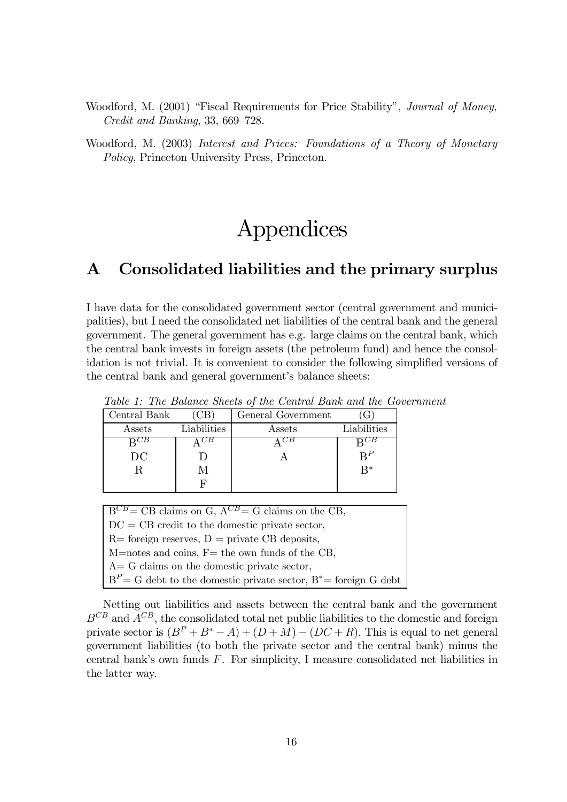Woodford, M. (2001) "Fiscal Requirements for Price Stability", Journal of Money, Credit and Banking, 33, 669—728.

Woodford, M. (2003) Interest and Prices: Foundations of a Theory of Monetary Policy, Princeton University Press, Princeton.

# Appendices

# A Consolidated liabilities and the primary surplus

I have data for the consolidated government sector (central government and municipalities), but I need the consolidated net liabilities of the central bank and the general government. The general government has e.g. large claims on the central bank, which the central bank invests in foreign assets (the petroleum fund) and hence the consolidation is not trivial. It is convenient to consider the following simplified versions of the central bank and general government's balance sheets:

| Central Bank |             | General Government |             |
|--------------|-------------|--------------------|-------------|
| Assets       | Liabilities | Assets             | Liabilities |
|              |             |                    |             |
| $_{\rm DC}$  |             |                    | $R^P$       |
|              |             |                    | $R^*$       |
|              |             |                    |             |

Table 1: The Balance Sheets of the Central Bank and the Government

| $B^{CB} = CB$ claims on G, $A^{CB} = G$ claims on the CB,            |
|----------------------------------------------------------------------|
|                                                                      |
| $DC = CB$ credit to the domestic private sector,                     |
|                                                                      |
| $R=$ foreign reserves, $D=$ private CB deposits,                     |
|                                                                      |
| $M$ =notes and coins, F= the own funds of the CB,                    |
|                                                                      |
| $A = G$ claims on the domestic private sector,                       |
|                                                                      |
| $BP = G$ debt to the domestic private sector, $B^* =$ foreign G debt |
|                                                                      |

Netting out liabilities and assets between the central bank and the government  $B^{CB}$  and  $A^{CB}$ , the consolidated total net public liabilities to the domestic and foreign private sector is  $(B^P + B^* - A) + (D + M) - (DC + R)$ . This is equal to net general government liabilities (to both the private sector and the central bank) minus the central bank's own funds F. For simplicity, I measure consolidated net liabilities in the latter way.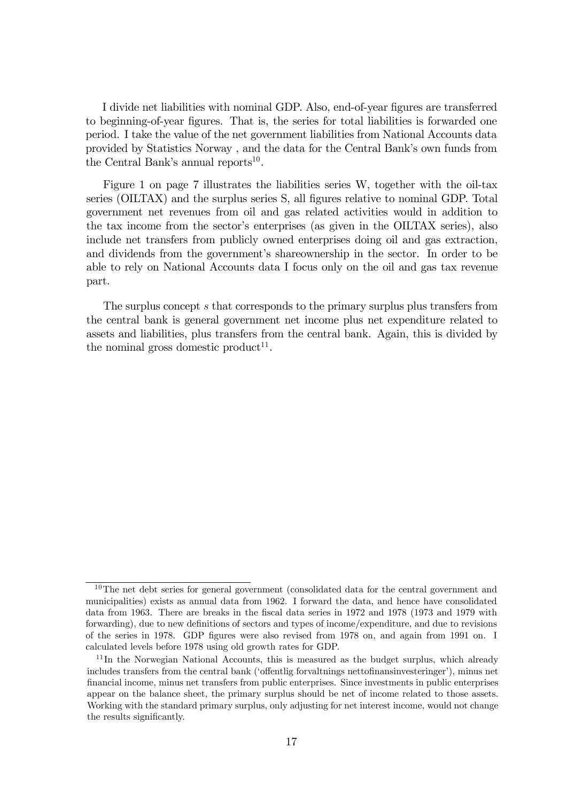I divide net liabilities with nominal GDP. Also, end-of-year figures are transferred to beginning-of-year figures. That is, the series for total liabilities is forwarded one period. I take the value of the net government liabilities from National Accounts data provided by Statistics Norway , and the data for the Central Bank's own funds from the Central Bank's annual reports<sup>10</sup>.

Figure 1 on page 7 illustrates the liabilities series W, together with the oil-tax series (OILTAX) and the surplus series S, all figures relative to nominal GDP. Total government net revenues from oil and gas related activities would in addition to the tax income from the sector's enterprises (as given in the OILTAX series), also include net transfers from publicly owned enterprises doing oil and gas extraction, and dividends from the government's shareownership in the sector. In order to be able to rely on National Accounts data I focus only on the oil and gas tax revenue part.

The surplus concept s that corresponds to the primary surplus plus transfers from the central bank is general government net income plus net expenditure related to assets and liabilities, plus transfers from the central bank. Again, this is divided by the nominal gross domestic product<sup>11</sup>.

 $10$ The net debt series for general government (consolidated data for the central government and municipalities) exists as annual data from 1962. I forward the data, and hence have consolidated data from 1963. There are breaks in the fiscal data series in 1972 and 1978 (1973 and 1979 with forwarding), due to new definitions of sectors and types of income/expenditure, and due to revisions of the series in 1978. GDP figures were also revised from 1978 on, and again from 1991 on. I calculated levels before 1978 using old growth rates for GDP.

 $11$ In the Norwegian National Accounts, this is measured as the budget surplus, which already includes transfers from the central bank ('offentlig forvaltnings nettofinansinvesteringer'), minus net financial income, minus net transfers from public enterprises. Since investments in public enterprises appear on the balance sheet, the primary surplus should be net of income related to those assets. Working with the standard primary surplus, only adjusting for net interest income, would not change the results significantly.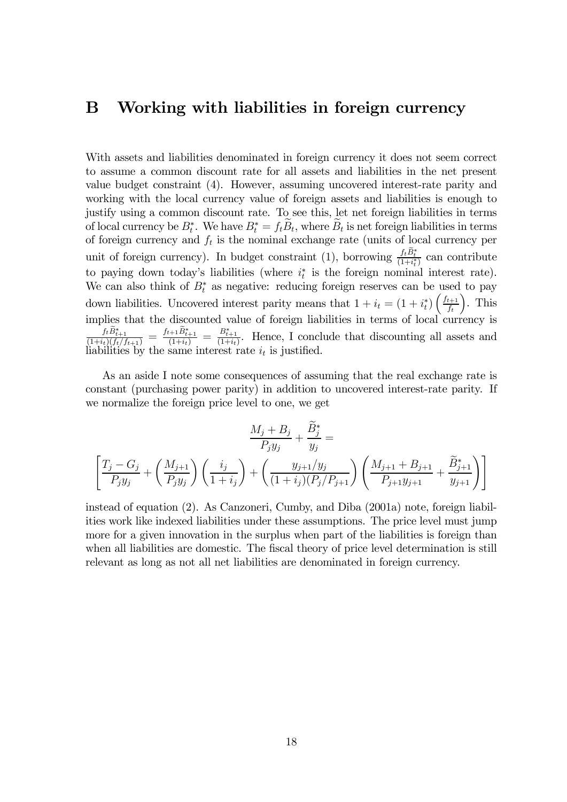## B Working with liabilities in foreign currency

With assets and liabilities denominated in foreign currency it does not seem correct to assume a common discount rate for all assets and liabilities in the net present value budget constraint (4). However, assuming uncovered interest-rate parity and working with the local currency value of foreign assets and liabilities is enough to justify using a common discount rate. To see this, let net foreign liabilities in terms of local currency be  $B_t^*$ . We have  $B_t^* = f_t B_t$ , where  $B_t$  is net foreign liabilities in terms of foreign currency and  $f_t$  is the nominal exchange rate (units of local currency per unit of foreign currency). In budget constraint (1), borrowing  $\frac{f_t B_t^*}{(1+i_t^*)}$  can contribute to paying down today's liabilities (where  $i_t^*$  is the foreign nominal interest rate). We can also think of  $B_t^*$  as negative: reducing foreign reserves can be used to pay down liabilities. Uncovered interest parity means that  $1 + i_t = (1 + i_t^*) \left( \frac{f_{t+1}}{f_t} \right)$  $f_t$  $\sum_{i=1}^{n}$ implies that the discounted value of foreign liabilities in terms of local currency is  $\frac{f_t B_{t+1}^*}{(1+i_t)(f_t/f_{t+1})} = \frac{f_{t+1} B_{t+1}^*}{(1+i_t)} = \frac{B_{t+1}^*}{(1+i_t)}$ . Hence, I conclude that discounting all assets and liabilities by the same interest rate  $i_t$  is justified.

As an aside I note some consequences of assuming that the real exchange rate is constant (purchasing power parity) in addition to uncovered interest-rate parity. If we normalize the foreign price level to one, we get

$$
\frac{M_j + B_j}{P_j y_j} + \frac{B_j^*}{y_j} =
$$
\n
$$
\left[ \frac{T_j - G_j}{P_j y_j} + \left( \frac{M_{j+1}}{P_j y_j} \right) \left( \frac{i_j}{1 + i_j} \right) + \left( \frac{y_{j+1}/y_j}{(1 + i_j)(P_j/P_{j+1}} \right) \left( \frac{M_{j+1} + B_{j+1}}{P_{j+1} y_{j+1}} + \frac{\widetilde{B}_{j+1}^*}{y_{j+1}} \right) \right]
$$

instead of equation (2). As Canzoneri, Cumby, and Diba (2001a) note, foreign liabilities work like indexed liabilities under these assumptions. The price level must jump more for a given innovation in the surplus when part of the liabilities is foreign than when all liabilities are domestic. The fiscal theory of price level determination is still relevant as long as not all net liabilities are denominated in foreign currency.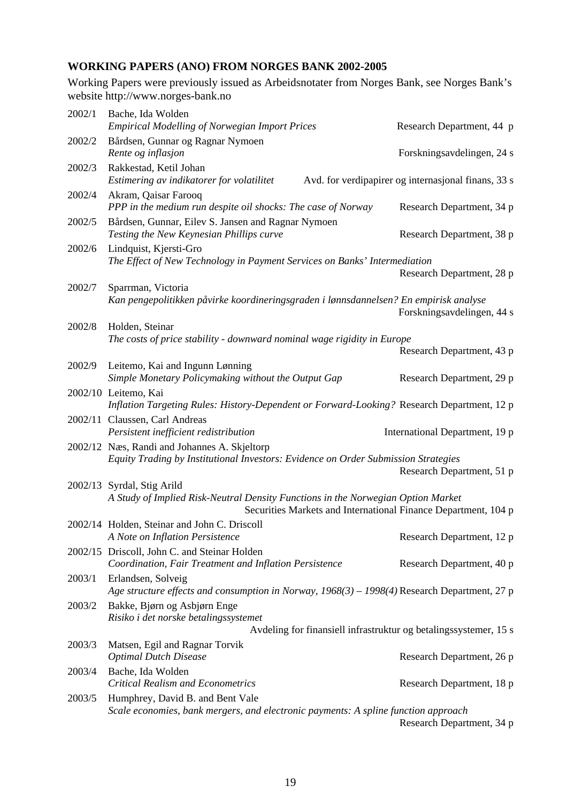#### **WORKING PAPERS (ANO) FROM NORGES BANK 2002-2005**

Working Papers were previously issued as Arbeidsnotater from Norges Bank, see Norges Bank's website http://www.norges-bank.no

| 2002/1 | Bache, Ida Wolden<br><b>Empirical Modelling of Norwegian Import Prices</b>                                                                                                       | Research Department, 44 p                           |
|--------|----------------------------------------------------------------------------------------------------------------------------------------------------------------------------------|-----------------------------------------------------|
| 2002/2 | Bårdsen, Gunnar og Ragnar Nymoen<br>Rente og inflasjon                                                                                                                           | Forskningsavdelingen, 24 s                          |
| 2002/3 | Rakkestad, Ketil Johan<br>Estimering av indikatorer for volatilitet                                                                                                              | Avd. for verdipapirer og internasjonal finans, 33 s |
| 2002/4 | Akram, Qaisar Farooq<br>PPP in the medium run despite oil shocks: The case of Norway                                                                                             | Research Department, 34 p                           |
| 2002/5 | Bårdsen, Gunnar, Eilev S. Jansen and Ragnar Nymoen<br>Testing the New Keynesian Phillips curve                                                                                   | Research Department, 38 p                           |
| 2002/6 | Lindquist, Kjersti-Gro<br>The Effect of New Technology in Payment Services on Banks' Intermediation                                                                              | Research Department, 28 p                           |
| 2002/7 | Sparrman, Victoria                                                                                                                                                               |                                                     |
|        | Kan pengepolitikken påvirke koordineringsgraden i lønnsdannelsen? En empirisk analyse                                                                                            | Forskningsavdelingen, 44 s                          |
| 2002/8 | Holden, Steinar                                                                                                                                                                  |                                                     |
|        | The costs of price stability - downward nominal wage rigidity in Europe                                                                                                          |                                                     |
| 2002/9 | Leitemo, Kai and Ingunn Lønning                                                                                                                                                  | Research Department, 43 p                           |
|        | Simple Monetary Policymaking without the Output Gap                                                                                                                              | Research Department, 29 p                           |
|        | 2002/10 Leitemo, Kai<br>Inflation Targeting Rules: History-Dependent or Forward-Looking? Research Department, 12 p                                                               |                                                     |
|        | 2002/11 Claussen, Carl Andreas<br>Persistent inefficient redistribution                                                                                                          | International Department, 19 p                      |
|        | 2002/12 Næs, Randi and Johannes A. Skjeltorp<br>Equity Trading by Institutional Investors: Evidence on Order Submission Strategies                                               | Research Department, 51 p                           |
|        | 2002/13 Syrdal, Stig Arild<br>A Study of Implied Risk-Neutral Density Functions in the Norwegian Option Market<br>Securities Markets and International Finance Department, 104 p |                                                     |
|        | 2002/14 Holden, Steinar and John C. Driscoll<br>A Note on Inflation Persistence                                                                                                  | Research Department, 12 p                           |
|        | 2002/15 Driscoll, John C. and Steinar Holden<br>Coordination, Fair Treatment and Inflation Persistence                                                                           | Research Department, 40 p                           |
| 2003/1 | Erlandsen, Solveig<br>Age structure effects and consumption in Norway, 1968(3) - 1998(4) Research Department, 27 p                                                               |                                                     |
| 2003/2 | Bakke, Bjørn og Asbjørn Enge<br>Risiko i det norske betalingssystemet                                                                                                            |                                                     |
|        | Avdeling for finansiell infrastruktur og betalingssystemer, 15 s                                                                                                                 |                                                     |
| 2003/3 | Matsen, Egil and Ragnar Torvik<br><b>Optimal Dutch Disease</b>                                                                                                                   | Research Department, 26 p                           |
| 2003/4 | Bache, Ida Wolden<br><b>Critical Realism and Econometrics</b>                                                                                                                    | Research Department, 18 p                           |
| 2003/5 | Humphrey, David B. and Bent Vale                                                                                                                                                 |                                                     |
|        | Scale economies, bank mergers, and electronic payments: A spline function approach                                                                                               | Research Department, 34 p                           |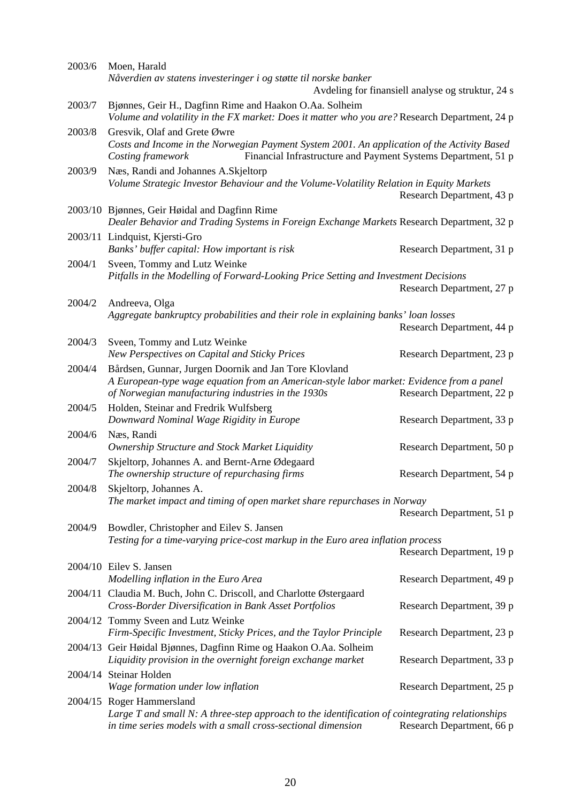| 2003/6 | Moen, Harald                                                                                                                                                                      |                                                   |
|--------|-----------------------------------------------------------------------------------------------------------------------------------------------------------------------------------|---------------------------------------------------|
|        | Nåverdien av statens investeringer i og støtte til norske banker                                                                                                                  |                                                   |
|        |                                                                                                                                                                                   | Avdeling for finansiell analyse og struktur, 24 s |
| 2003/7 | Bjønnes, Geir H., Dagfinn Rime and Haakon O.Aa. Solheim<br>Volume and volatility in the FX market: Does it matter who you are? Research Department, 24 p                          |                                                   |
| 2003/8 | Gresvik, Olaf and Grete Øwre                                                                                                                                                      |                                                   |
|        | Costs and Income in the Norwegian Payment System 2001. An application of the Activity Based<br>Financial Infrastructure and Payment Systems Department, 51 p<br>Costing framework |                                                   |
| 2003/9 | Næs, Randi and Johannes A.Skjeltorp                                                                                                                                               |                                                   |
|        | Volume Strategic Investor Behaviour and the Volume-Volatility Relation in Equity Markets                                                                                          | Research Department, 43 p                         |
|        | 2003/10 Bjønnes, Geir Høidal and Dagfinn Rime<br>Dealer Behavior and Trading Systems in Foreign Exchange Markets Research Department, 32 p                                        |                                                   |
|        | 2003/11 Lindquist, Kjersti-Gro                                                                                                                                                    |                                                   |
|        | Banks' buffer capital: How important is risk                                                                                                                                      | Research Department, 31 p                         |
| 2004/1 | Sveen, Tommy and Lutz Weinke                                                                                                                                                      |                                                   |
|        | Pitfalls in the Modelling of Forward-Looking Price Setting and Investment Decisions                                                                                               |                                                   |
|        |                                                                                                                                                                                   | Research Department, 27 p                         |
| 2004/2 | Andreeva, Olga                                                                                                                                                                    |                                                   |
|        | Aggregate bankruptcy probabilities and their role in explaining banks' loan losses                                                                                                |                                                   |
|        |                                                                                                                                                                                   | Research Department, 44 p                         |
| 2004/3 | Sveen, Tommy and Lutz Weinke                                                                                                                                                      |                                                   |
|        | New Perspectives on Capital and Sticky Prices                                                                                                                                     | Research Department, 23 p                         |
| 2004/4 | Bårdsen, Gunnar, Jurgen Doornik and Jan Tore Klovland                                                                                                                             |                                                   |
|        | A European-type wage equation from an American-style labor market: Evidence from a panel<br>of Norwegian manufacturing industries in the 1930s                                    | Research Department, 22 p                         |
| 2004/5 | Holden, Steinar and Fredrik Wulfsberg                                                                                                                                             |                                                   |
|        | Downward Nominal Wage Rigidity in Europe                                                                                                                                          | Research Department, 33 p                         |
| 2004/6 | Næs, Randi                                                                                                                                                                        |                                                   |
|        | Ownership Structure and Stock Market Liquidity                                                                                                                                    | Research Department, 50 p                         |
| 2004/7 | Skjeltorp, Johannes A. and Bernt-Arne Ødegaard                                                                                                                                    |                                                   |
|        | The ownership structure of repurchasing firms                                                                                                                                     | Research Department, 54 p                         |
| 2004/8 | Skjeltorp, Johannes A.                                                                                                                                                            |                                                   |
|        | The market impact and timing of open market share repurchases in Norway                                                                                                           |                                                   |
|        |                                                                                                                                                                                   | Research Department, 51 p                         |
| 2004/9 | Bowdler, Christopher and Eilev S. Jansen                                                                                                                                          |                                                   |
|        | Testing for a time-varying price-cost markup in the Euro area inflation process                                                                                                   |                                                   |
|        |                                                                                                                                                                                   | Research Department, 19 p                         |
|        | 2004/10 Eilev S. Jansen                                                                                                                                                           |                                                   |
|        | Modelling inflation in the Euro Area                                                                                                                                              | Research Department, 49 p                         |
|        | 2004/11 Claudia M. Buch, John C. Driscoll, and Charlotte Østergaard<br>Cross-Border Diversification in Bank Asset Portfolios                                                      | Research Department, 39 p                         |
|        | 2004/12 Tommy Sveen and Lutz Weinke                                                                                                                                               |                                                   |
|        | Firm-Specific Investment, Sticky Prices, and the Taylor Principle                                                                                                                 | Research Department, 23 p                         |
|        | 2004/13 Geir Høidal Bjønnes, Dagfinn Rime og Haakon O.Aa. Solheim                                                                                                                 |                                                   |
|        | Liquidity provision in the overnight foreign exchange market                                                                                                                      | Research Department, 33 p                         |
|        | 2004/14 Steinar Holden                                                                                                                                                            |                                                   |
|        | Wage formation under low inflation                                                                                                                                                | Research Department, 25 p                         |
|        | 2004/15 Roger Hammersland                                                                                                                                                         |                                                   |
|        | Large $T$ and small N: A three-step approach to the identification of cointegrating relationships<br>in time series models with a small cross-sectional dimension                 | Research Department, 66 p                         |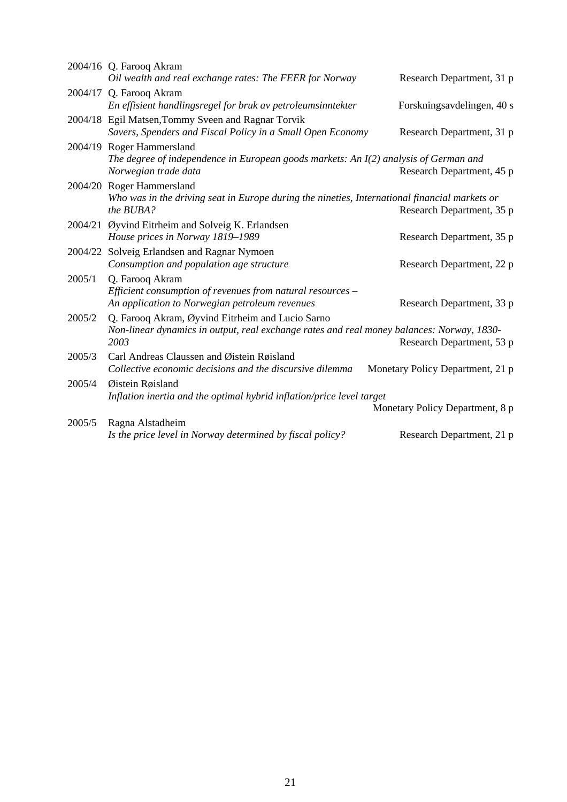|         | 2004/16 Q. Farooq Akram<br>Oil wealth and real exchange rates: The FEER for Norway                                                                    | Research Department, 31 p        |
|---------|-------------------------------------------------------------------------------------------------------------------------------------------------------|----------------------------------|
|         | 2004/17 Q. Farooq Akram<br>En effisient handlingsregel for bruk av petroleumsinntekter                                                                | Forskningsavdelingen, 40 s       |
|         | 2004/18 Egil Matsen, Tommy Sveen and Ragnar Torvik<br>Savers, Spenders and Fiscal Policy in a Small Open Economy                                      | Research Department, 31 p        |
|         | 2004/19 Roger Hammersland<br>The degree of independence in European goods markets: An $I(2)$ analysis of German and<br>Norwegian trade data           | Research Department, 45 p        |
|         | 2004/20 Roger Hammersland<br>Who was in the driving seat in Europe during the nineties, International financial markets or<br>the BUBA?               | Research Department, 35 p        |
|         | 2004/21 Øyvind Eitrheim and Solveig K. Erlandsen<br>House prices in Norway 1819-1989                                                                  | Research Department, 35 p        |
| 2004/22 | Solveig Erlandsen and Ragnar Nymoen<br>Consumption and population age structure                                                                       | Research Department, 22 p        |
| 2005/1  | Q. Farooq Akram<br>Efficient consumption of revenues from natural resources -<br>An application to Norwegian petroleum revenues                       | Research Department, 33 p        |
| 2005/2  | Q. Farooq Akram, Øyvind Eitrheim and Lucio Sarno<br>Non-linear dynamics in output, real exchange rates and real money balances: Norway, 1830-<br>2003 | Research Department, 53 p        |
| 2005/3  | Carl Andreas Claussen and Øistein Røisland<br>Collective economic decisions and the discursive dilemma                                                | Monetary Policy Department, 21 p |
| 2005/4  | Øistein Røisland<br>Inflation inertia and the optimal hybrid inflation/price level target                                                             | Monetary Policy Department, 8 p  |
| 2005/5  | Ragna Alstadheim<br>Is the price level in Norway determined by fiscal policy?                                                                         | Research Department, 21 p        |